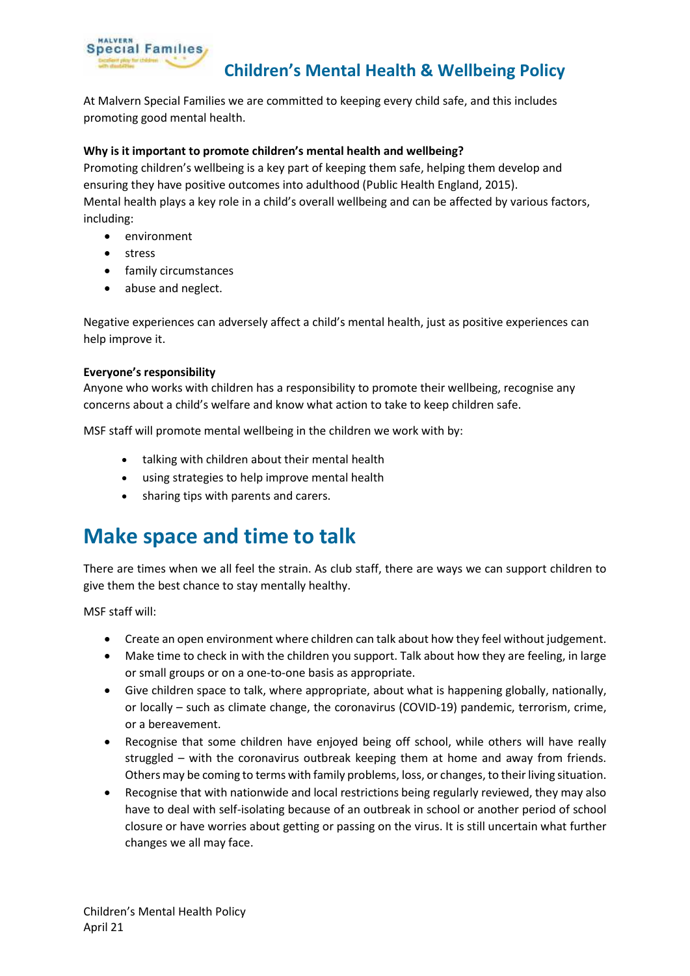

### **Children's Mental Health & Wellbeing Policy**

At Malvern Special Families we are committed to keeping every child safe, and this includes promoting good mental health.

### **Why is it important to promote children's mental health and wellbeing?**

Promoting children's wellbeing is a key part of keeping them safe, helping them develop and ensuring they have positive outcomes into adulthood (Public Health England, 2015). Mental health plays a key role in a child's overall wellbeing and can be affected by various factors, including:

- environment
- stress
- family circumstances
- abuse and neglect.

Negative experiences can adversely affect a child's mental health, just as positive experiences can help improve it.

### **Everyone's responsibility**

Anyone who works with children has a responsibility to promote their wellbeing, recognise any concerns about a child's welfare and know what action to take to keep children safe.

MSF staff will promote mental wellbeing in the children we work with by:

- talking with children about their mental health
- using strategies to help improve mental health
- sharing tips with parents and carers.

# **Make space and time to talk**

There are times when we all feel the strain. As club staff, there are ways we can support children to give them the best chance to stay mentally healthy.

MSF staff will:

- Create an open environment where children can talk about how they feel without judgement.
- Make time to check in with the children you support. Talk about how they are feeling, in large or small groups or on a one-to-one basis as appropriate.
- Give children space to talk, where appropriate, about what is happening globally, nationally, or locally – such as climate change, the coronavirus (COVID-19) pandemic, terrorism, crime, or a bereavement.
- Recognise that some children have enjoyed being off school, while others will have really struggled – with the coronavirus outbreak keeping them at home and away from friends. Others may be coming to terms with family problems, loss, or changes, to their living situation.
- Recognise that with nationwide and local restrictions being regularly reviewed, they may also have to deal with self-isolating because of an outbreak in school or another period of school closure or have worries about getting or passing on the virus. It is still uncertain what further changes we all may face.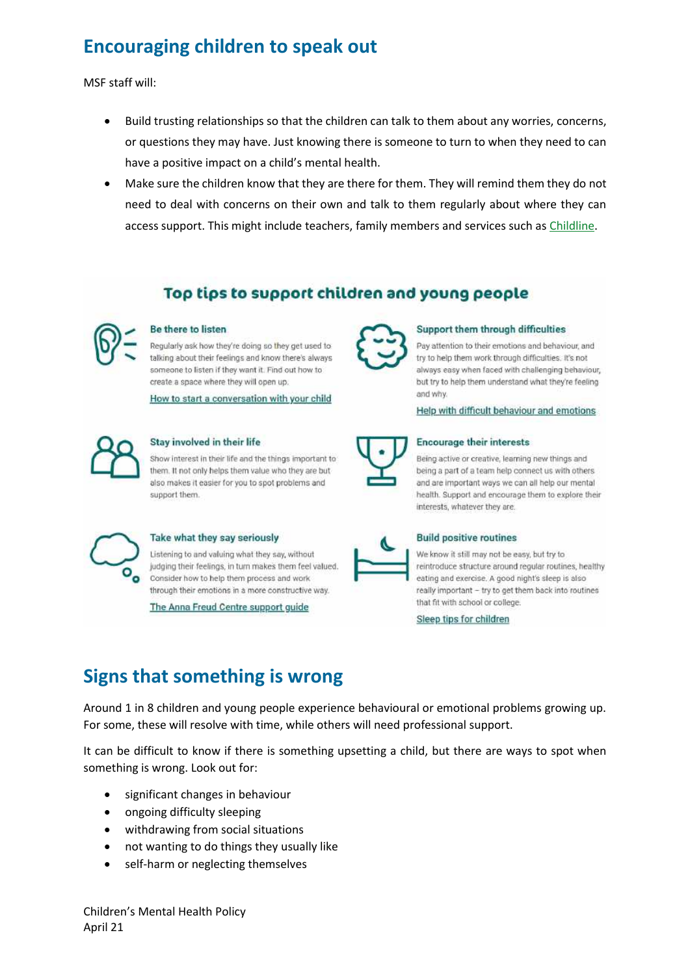# **Encouraging children to speak out**

MSF staff will:

- Build trusting relationships so that the children can talk to them about any worries, concerns, or questions they may have. Just knowing there is someone to turn to when they need to can have a positive impact on a child's mental health.
- Make sure the children know that they are there for them. They will remind them they do not need to deal with concerns on their own and talk to them regularly about where they can access support. This might include teachers, family members and services such as [Childline.](https://www.childline.org.uk/get-support/)

### Top tips to support children and young people



#### Be there to listen

Regularly ask how they're doing so they get used to talking about their feelings and know there's always someone to listen if they want it. Find out how to create a space where they will open up.

How to start a conversation with your child



#### Stay involved in their life

Show interest in their life and the things important to them. It not only helps them value who they are but also makes it easier for you to spot problems and support them.



#### Take what they say seriously

Listening to and valuing what they say, without judging their feelings, in turn makes them feel valued. Consider how to help them process and work through their emotions in a more constructive way.

The Anna Freud Centre support guide



#### Support them through difficulties

Pay attention to their emotions and behaviour, and try to help them work through difficulties. It's not always easy when faced with challenging behaviour, but try to help them understand what they're feelingand why.

Help with difficult behaviour and emotions



#### **Encourage their interests**

Being active or creative, learning new things and being a part of a team help connect us with others and are important ways we can all help our mental health. Support and encourage them to explore their interests, whatever they are.



#### **Build positive routines**

We know it still may not be easy, but try to reintroduce structure around regular routines, healthy eating and exercise. A good night's sleep is also really important - try to get them back into routines that fit with school or college.

Sleep tips for children

## **Signs that something is wrong**

Around 1 in 8 children and young people experience behavioural or emotional problems growing up. For some, these will resolve with time, while others will need professional support.

It can be difficult to know if there is something upsetting a child, but there are ways to spot when something is wrong. Look out for:

- significant changes in behaviour
- ongoing difficulty sleeping
- withdrawing from social situations
- not wanting to do things they usually like
- self-harm or neglecting themselves

Children's Mental Health Policy April 21